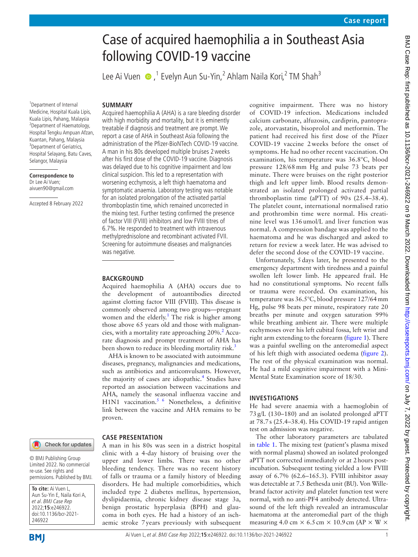# BMJ Case Rep: first published as 10.1136/bcr-2021-246922 on 9 March 2022. Downloaded from http://casereports.bmj.com/ on July 7, 2022 by guest. Protected by copyright BMJ Case Rep: first published as 10.1136/bcr-2021-246922 on 9 March 2022. Downloaded from <http://casereports.bmj.com/> on July 7, 2022 by guest. Protected by copyright. cognitive impairment. There was no history of COVID-19 infection. Medications included calcium carbonate, alfuzosin, cardiprin, pantoprazole, atorvastatin, bisoprolol and metformin. The patient had received his first dose of the Pfizer COVID-19 vaccine 2weeks before the onset of symptoms. He had no other recent vaccination. On examination, his temperature was 36.8°C, blood pressure 128/68 mm Hg and pulse 73 beats per minute. There were bruises on the right posterior thigh and left upper limb. Blood results demonstrated an isolated prolonged activated partial thromboplastin time (aPTT) of  $90 s$  (25.4–38.4). The platelet count, international normalised ratio and prothrombin time were normal. His creatinine level was 136 umol/L and liver function was normal. A compression bandage was applied to the haematoma and he was discharged and asked to return for review a week later. He was advised to defer the second dose of the COVID-19 vaccine. Unfortunately, 5days later, he presented to the emergency department with tiredness and a painful swollen left lower limb. He appeared frail. He had no constitutional symptoms. No recent falls or trauma were recorded. On examination, his temperature was 36.5°C, blood pressure 127/64mm Hg, pulse 98 beats per minute, respiratory rate 20 breaths per minute and oxygen saturation 99% while breathing ambient air. There were multiple ecchymoses over his left cubital fossa, left wrist and right arm extending to the forearm [\(figure](#page-1-0) 1). There was a painful swelling on the anteromedial aspect of his left thigh with associated oedema [\(figure](#page-1-1) 2). The rest of the physical examination was normal. He had a mild cognitive impairment with a Mini-He had severe anaemia with a haemoglobin of 73g/L (130–180) and an isolated prolonged aPTT at 78.7s (25.4–38.4). His COVID-19 rapid antigen The other laboratory parameters are tabulated in [table](#page-1-2) 1. The mixing test (patient's plasma mixed with normal plasma) showed an isolated prolonged

# Case of acquired haemophilia a in Southeast Asia following COVID-19 vaccine

LeeAi Vuen (D, <sup>1</sup> Evelyn Aun Su-Yin, 2 Ahlam Naila Kori, 2 TM Shah<sup>3</sup>

#### **SUMMARY**

1 Department of Internal Medicine, Hospital Kuala Lipis, Kuala Lipis, Pahang, Malaysia 2 Department of Haematology, Hospital Tengku Ampuan Afzan, Kuantan, Pahang, Malaysia <sup>3</sup>Department of Geriatrics, Hospital Selayang, Batu Caves, Selangor, Malaysia

**Correspondence to** Dr Lee Ai Vuen; aivuen90@gmail.com

Accepted 8 February 2022

with high morbidity and mortality, but it is eminently treatable if diagnosis and treatment are prompt. We report a case of AHA in Southeast Asia following the administration of the Pfizer-BioNTech COVID-19 vaccine. A man in his 80s developed multiple bruises 2weeks after his first dose of the COVID-19 vaccine. Diagnosis was delayed due to his cognitive impairment and low clinical suspicion. This led to a representation with worsening ecchymosis, a left thigh haematoma and symptomatic anaemia. Laboratory testing was notable for an isolated prolongation of the activated partial thromboplastin time, which remained uncorrected in the mixing test. Further testing confirmed the presence of factor VIII (FVIII) inhibitors and low FVIII titres of 6.7%. He responded to treatment with intravenous methylprednisolone and recombinant activated FVII. Screening for autoimmune diseases and malignancies was negative.

Acquired haemophilia A (AHA) is a rare bleeding disorder

#### **BACKGROUND**

**CASE PRESENTATION**

Acquired haemophilia A (AHA) occurs due to the development of autoantibodies directed against clotting factor VIII (FVIII). This disease is commonly observed among two groups—pregnant women and the elderly.<sup>[1](#page-4-0)</sup> The risk is higher among those above 65 years old and those with malignancies, with a mortality rate approaching  $20\%$  $20\%$ .<sup>2</sup> Accurate diagnosis and prompt treatment of AHA has been shown to reduce its bleeding mortality risk.<sup>[3](#page-4-2)</sup>

AHA is known to be associated with autoimmune diseases, pregnancy, malignancies and medications, such as antibiotics and anticonvulsants. However, the majority of cases are idiopathic.<sup>[4](#page-4-3)</sup> Studies have reported an association between vaccinations and AHA, namely the seasonal influenza vaccine and H1N1 vaccination.<sup>5 6</sup> Nonetheless, a definitive link between the vaccine and AHA remains to be proven.

A man in his 80s was seen in a district hospital clinic with a 4-day history of bruising over the upper and lower limbs. There was no other bleeding tendency. There was no recent history of falls or trauma or a family history of bleeding disorders. He had multiple comorbidities, which included type 2 diabetes mellitus, hypertension, dyslipidaemia, chronic kidney disease stage 3a, benign prostatic hyperplasia (BPH) and glaucoma in both eyes. He had a history of an ischaemic stroke 7 years previously with subsequent

# Check for updates

© BMJ Publishing Group Limited 2022. No commercial re-use. See rights and permissions. Published by BMJ.

**To cite:** Ai Vuen L, Aun Su-Yin E, Naila Kori A, et al. BMJ Case Rep 2022;**15**:e246922. doi:10.1136/bcr-2021- 246922

**BMI** 



Mental State Examination score of 18/30.

aPTT not corrected immediately or at 2hours postincubation. Subsequent testing yielded a low FVIII assay of 6.7% (62.6–165.3). FVIII inhibitor assay was detectable at 7.5 Bethesda unit (BU). Von Willebrand factor activity and platelet function test were normal, with no anti-PF4 antibody detected. Ultrasound of the left thigh revealed an intramuscular haematoma at the anteromedial part of the thigh measuring 4.0 cm  $\times$  6.5 cm  $\times$  10.9 cm (AP  $\times$  W  $\times$ 

**INVESTIGATIONS**

test on admission was negative.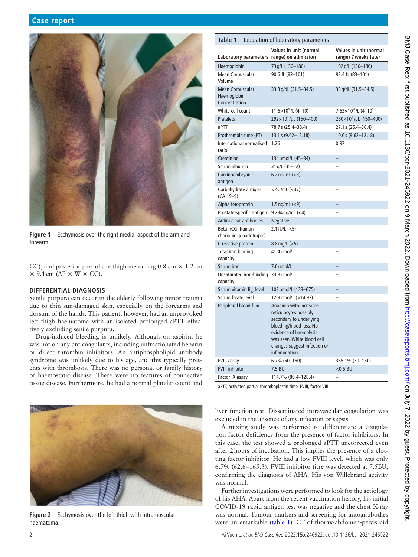

**Figure 1** Ecchymosis over the right medial aspect of the arm and forearm.

<span id="page-1-0"></span>CC), and posterior part of the thigh measuring  $0.8 \text{ cm} \times 1.2 \text{ cm}$  $\times$  9.1 cm (AP  $\times$  W  $\times$  CC).

## **DIFFERENTIAL DIAGNOSIS**

Senile purpura can occur in the elderly following minor trauma due to thin sun-damaged skin, especially on the forearms and dorsum of the hands. This patient, however, had an unprovoked left thigh haematoma with an isolated prolonged aPTT effectively excluding senile purpura.

Drug-induced bleeding is unlikely. Although on aspirin, he was not on any anticoagulants, including unfractionated heparin or direct thrombin inhibitors. An antiphospholipid antibody syndrome was unlikely due to his age, and this typically presents with thrombosis. There was no personal or family history of haemostatic disease. There were no features of connective tissue disease. Furthermore, he had a normal platelet count and

<span id="page-1-1"></span>

**Figure 2** Ecchymosis over the left thigh with intramuscular haematoma.

<span id="page-1-2"></span>

| Table 1<br>Tabulation of laboratory parameters          |                                                                                                                                                                                                                 |                                                |  |  |  |  |  |  |
|---------------------------------------------------------|-----------------------------------------------------------------------------------------------------------------------------------------------------------------------------------------------------------------|------------------------------------------------|--|--|--|--|--|--|
| Laboratory parameters range) on admission               | Values in unit (normal                                                                                                                                                                                          | Values in unit (normal<br>range) 7 weeks later |  |  |  |  |  |  |
| Haemoglobin                                             | 73 g/L (130-180)                                                                                                                                                                                                | 102 g/L (130-180)                              |  |  |  |  |  |  |
| Mean Corpuscular<br>Volume                              | 90.6 fL (83-101)                                                                                                                                                                                                | 93.4 fL (83-101)                               |  |  |  |  |  |  |
| <b>Mean Corpuscular</b><br>Haemoglobin<br>Concentration | 33.3 g/dL (31.5-34.5)                                                                                                                                                                                           | 33 g/dL (31.5-34.5)                            |  |  |  |  |  |  |
| White cell count                                        | $11.6 \times 10^9$ /L (4-10)                                                                                                                                                                                    | $7.63 \times 10^9$ /L (4-10)                   |  |  |  |  |  |  |
| <b>Platelets</b>                                        | 292×10 <sup>3</sup> /µL (150-400)                                                                                                                                                                               | 280×10 <sup>3</sup> /µL (150-400)              |  |  |  |  |  |  |
| aPTT                                                    | 78.7s (25.4-38.4)                                                                                                                                                                                               | 27.1 s (25.4-38.4)                             |  |  |  |  |  |  |
| Prothrombin time (PT)                                   | 13.1 s (9.62-12.18)                                                                                                                                                                                             | 10.6s (9.62-12.18)                             |  |  |  |  |  |  |
| International normalised<br>ratio                       | 1.26                                                                                                                                                                                                            | 0.97                                           |  |  |  |  |  |  |
| Creatinine                                              | 134 umol/L (45-84)                                                                                                                                                                                              |                                                |  |  |  |  |  |  |
| Serum albumin                                           | 31 g/L (35-52)                                                                                                                                                                                                  |                                                |  |  |  |  |  |  |
| Carcinoembryonic<br>antigen                             | 6.2 ng/mL $(-3)$                                                                                                                                                                                                |                                                |  |  |  |  |  |  |
| Carbohydrate antigen<br>$(CA 19-9)$                     | <2 U/mL (<37)                                                                                                                                                                                                   |                                                |  |  |  |  |  |  |
| Alpha fetoprotein                                       | 1.5 $nq/mL$ (<9)                                                                                                                                                                                                | $\overline{\phantom{0}}$                       |  |  |  |  |  |  |
| Prostate-specific antigen                               | 9.234 ng/mL $(-4)$                                                                                                                                                                                              |                                                |  |  |  |  |  |  |
| Antinuclear antibodies                                  | <b>Negative</b>                                                                                                                                                                                                 | $\overline{\phantom{0}}$                       |  |  |  |  |  |  |
| Beta-hCG (human<br>chorionic gonadotropin)              | $2.1$ IU/L ( $<$ 5)                                                                                                                                                                                             |                                                |  |  |  |  |  |  |
| C reactive protein                                      | $8.8 \,\mathrm{mq/L}$ (<5)                                                                                                                                                                                      |                                                |  |  |  |  |  |  |
| Total iron binding<br>capacity                          | 41.4 umol/L                                                                                                                                                                                                     |                                                |  |  |  |  |  |  |
| Serum iron                                              | 7.6 umol/L                                                                                                                                                                                                      |                                                |  |  |  |  |  |  |
| Unsaturated iron-binding 33.8 umol/L<br>capacity        |                                                                                                                                                                                                                 |                                                |  |  |  |  |  |  |
| Serum vitamin B <sub>12</sub> level                     | 103 pmol/L (133-675)                                                                                                                                                                                            |                                                |  |  |  |  |  |  |
| Serum folate level                                      | 12.9 nmol/L (>14.93)                                                                                                                                                                                            |                                                |  |  |  |  |  |  |
| Peripheral blood film                                   | Anaemia with increased<br>reticulocytes possibly<br>secondary to underlying<br>bleeding/blood loss. No<br>evidence of haemolysis<br>was seen. White blood cell<br>changes suggest infection or<br>inflammation. |                                                |  |  |  |  |  |  |
| <b>FVIII assay</b>                                      | 6.7% (50-150)                                                                                                                                                                                                   | 365.1% (50-150)                                |  |  |  |  |  |  |
| <b>FVIII inhibitor</b>                                  | 7.5 BU                                                                                                                                                                                                          | $<$ 0.5 BU                                     |  |  |  |  |  |  |
| Factor IX assav                                         | 114.7% (86.4-128.4)                                                                                                                                                                                             |                                                |  |  |  |  |  |  |

aPTT, activated partial thromboplastin time; FVIII, factor VIII.

liver function test. Disseminated intravascular coagulation was excluded in the absence of any infection or sepsis.

A mixing study was performed to differentiate a coagulation factor deficiency from the presence of factor inhibitors. In this case, the test showed a prolonged aPTT uncorrected even after 2hours of incubation. This implies the presence of a clotting factor inhibitor. He had a low FVIII level, which was only 6.7% (62.6–165.3). FVIII inhibitor titre was detected at 7.5BU, confirming the diagnosis of AHA. His von Willebrand activity was normal.

Further investigations were performed to look for the aetiology of his AHA. Apart from the recent vaccination history, his initial COVID-19 rapid antigen test was negative and the chest X-ray was normal. Tumour markers and screening for autoantibodies were unremarkable [\(table](#page-1-2) 1). CT of thorax-abdomen-pelvis did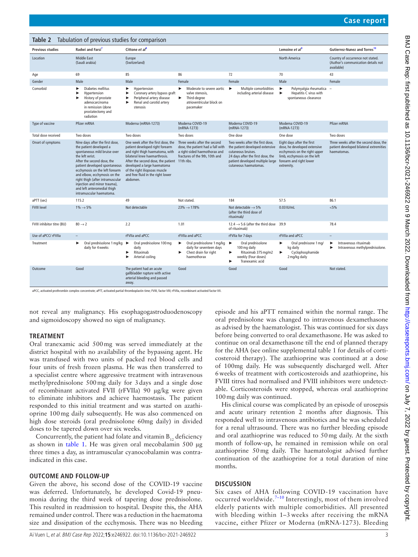<span id="page-2-0"></span>

| Tabulation of previous studies for comparison<br>Table 2 |                                                                                                                                                                                                                                                                                                                                                                               |                                                                                                                                                                                                                                                                                                             |                                                                                                                                      |                                                                                                                                                                                            |                                                                                                                                                                      |                                                                                                  |  |  |
|----------------------------------------------------------|-------------------------------------------------------------------------------------------------------------------------------------------------------------------------------------------------------------------------------------------------------------------------------------------------------------------------------------------------------------------------------|-------------------------------------------------------------------------------------------------------------------------------------------------------------------------------------------------------------------------------------------------------------------------------------------------------------|--------------------------------------------------------------------------------------------------------------------------------------|--------------------------------------------------------------------------------------------------------------------------------------------------------------------------------------------|----------------------------------------------------------------------------------------------------------------------------------------------------------------------|--------------------------------------------------------------------------------------------------|--|--|
| <b>Previous studies</b>                                  | Radwi and Farsi <sup>7</sup>                                                                                                                                                                                                                                                                                                                                                  | Cittone et al <sup>8</sup>                                                                                                                                                                                                                                                                                  |                                                                                                                                      |                                                                                                                                                                                            | Lemoine et $a^{\beta}$                                                                                                                                               | Gutierrez-Nunez and Torres <sup>10</sup>                                                         |  |  |
| Location                                                 | <b>Middle East</b><br>(Saudi arabia)                                                                                                                                                                                                                                                                                                                                          | Europe<br>(Switzerland)                                                                                                                                                                                                                                                                                     |                                                                                                                                      |                                                                                                                                                                                            | <b>North America</b>                                                                                                                                                 | Country of occurrence not stated.<br>(Author's communication details not<br>available)           |  |  |
| Age                                                      | 69                                                                                                                                                                                                                                                                                                                                                                            | 85                                                                                                                                                                                                                                                                                                          | 86                                                                                                                                   | 72                                                                                                                                                                                         | 70                                                                                                                                                                   | 43                                                                                               |  |  |
| Gender                                                   | Male                                                                                                                                                                                                                                                                                                                                                                          | Male                                                                                                                                                                                                                                                                                                        | Female                                                                                                                               | Female                                                                                                                                                                                     | Male                                                                                                                                                                 | Female                                                                                           |  |  |
| Comorbid                                                 | Diabetes mellitus<br>Hypertension<br>History of prostate<br>adenocarcinoma<br>in remission (done<br>prostatectomy and<br>radiation                                                                                                                                                                                                                                            | Hypertension<br>▶<br>Coronary artery bypass graft<br>▶<br>Peripheral artery disease<br>▶<br>Renal and carotid artery<br>▶<br>stenosis                                                                                                                                                                       | Moderate to severe aortic<br>►<br>valve stenosis.<br>ь<br>Third-degree<br>atrioventricular block on<br>pacemaker                     | Multiple comorbidities<br>$\blacktriangleright$<br>including arterial disease                                                                                                              | Polymyalgia rheumatica -<br>▶<br>$\blacktriangleright$<br>Hepatitis C virus with<br>spontaneous clearance                                                            |                                                                                                  |  |  |
| Type of vaccine                                          | Pfizer mRNA                                                                                                                                                                                                                                                                                                                                                                   | Moderna (mRNA-1273)                                                                                                                                                                                                                                                                                         | Moderna COVID-19<br>(mRNA-1273)                                                                                                      | Moderna COVID-19<br>(mRNA-1273)                                                                                                                                                            | Moderna COVID-19<br>(mRNA-1273)                                                                                                                                      | Pfizer mRNA                                                                                      |  |  |
| Total dose received                                      | Two doses                                                                                                                                                                                                                                                                                                                                                                     | Two doses                                                                                                                                                                                                                                                                                                   | Two doses                                                                                                                            | One dose                                                                                                                                                                                   | One dose                                                                                                                                                             | Two doses                                                                                        |  |  |
| Onset of symptoms                                        | Nine days after the first dose,<br>the patient developed a<br>spontaneous mild bruise over<br>the left wrist.<br>After the second dose, the<br>patient developed spontaneous<br>ecchymosis on the left forearm<br>and elbow, ecchymosis on the<br>right thigh (after intramuscular<br>injection and minor trauma),<br>and left anteromedial thigh<br>intramuscular haematoma. | One week after the first dose, the<br>patient developed right forearm<br>and right thigh haematoma, with<br>bilateral knee haemarthrosis.<br>After the second dose, the patient 11th ribs.<br>developed a large haematoma<br>of the right iliopsoas muscle<br>and free fluid in the right lower<br>abdomen. | Three weeks after the second<br>dose, the patient had a fall with<br>a right-sided haemothorax and<br>fractures of the 9th, 10th and | Two weeks after the first dose.<br>the patient developed extensive<br>cutaneous bruises.<br>24 days after the first dose, the<br>patient developed multiple large<br>cutaneous haematomas. | Eight days after the first<br>dose, he developed extensive<br>ecchymosis on the right upper<br>limb, ecchymosis on the left<br>forearm and right lower<br>extremity. | Three weeks after the second dose, the<br>patient developed bilateral extremities<br>haematomas. |  |  |
| aPTT (sec)                                               | 115.2                                                                                                                                                                                                                                                                                                                                                                         | 49                                                                                                                                                                                                                                                                                                          | Not stated.                                                                                                                          | 184                                                                                                                                                                                        | 57.5                                                                                                                                                                 | 86.1                                                                                             |  |  |
| <b>FVIII level</b>                                       | $1\% \rightarrow 5\%$                                                                                                                                                                                                                                                                                                                                                         | Not detectable                                                                                                                                                                                                                                                                                              | $23\% \rightarrow 178\%$                                                                                                             | Not detectable $\rightarrow$ 5%<br>(after the third dose of<br>rituximab)                                                                                                                  | 0.03 IU/mL                                                                                                                                                           | $< 5\%$                                                                                          |  |  |
| FVIII inhibitor titre (BU)                               | $80 \rightarrow 2$                                                                                                                                                                                                                                                                                                                                                            | 2.2                                                                                                                                                                                                                                                                                                         | 1.01                                                                                                                                 | $12.4 \rightarrow 5.6$ (after the third dose 39.9<br>of rituximab)                                                                                                                         |                                                                                                                                                                      | 78.4                                                                                             |  |  |
| Use of aPCC/ rFVIIa                                      | $\overline{\phantom{a}}$                                                                                                                                                                                                                                                                                                                                                      | rFVIIa and aPCC                                                                                                                                                                                                                                                                                             | rFVIIa and aPCC                                                                                                                      | rFVIIa for 7 days                                                                                                                                                                          | rFVIIa and aPCC                                                                                                                                                      |                                                                                                  |  |  |
| Treatment                                                | Oral prednisolone 1 mg/kg<br>ь<br>daily for 4 weeks                                                                                                                                                                                                                                                                                                                           | Oral prednisolone 100 mg<br>$\blacktriangleright$<br>daily<br>Rituximab<br>▶<br>Arterial coiling                                                                                                                                                                                                            | Oral prednisolone 1 mg/kg<br>▶<br>daily for seventeen days<br>Chest drain for right<br>▶<br>haemothorax                              | Oral prednisolone<br>ь<br>100 mg daily<br>Rituximab 375 mg/m2<br>►<br>weekly (Four doses)<br>Tranexamic acid                                                                               | Oral prednisone 1 mg/<br>►<br>kg daily<br>Cyclophosphamide<br>►<br>2 mg/kg daily                                                                                     | Intravenous rituximab<br>▶<br>Intravenous methylprednisolone.<br>▶                               |  |  |
| Outcome                                                  | Good                                                                                                                                                                                                                                                                                                                                                                          | The patient had an acute<br>gallbladder rupture with active<br>arterial bleeding and passed<br>away.                                                                                                                                                                                                        | Good                                                                                                                                 | Good                                                                                                                                                                                       | Good                                                                                                                                                                 | Not stated.                                                                                      |  |  |

aPCC, activated prothrombin complex concentrate; aPTT, activated partial thromboplastin time; FVIII, factor VIII; rFVIIa, recombinant activated factor VII.

not reveal any malignancy. His esophagogastroduodenoscopy and sigmoidoscopy showed no sign of malignancy.

#### **TREATMENT**

Oral tranexamic acid 500mg was served immediately at the district hospital with no availability of the bypassing agent. He was transfused with two units of packed red blood cells and four units of fresh frozen plasma. He was then transferred to a specialist centre where aggressive treatment with intravenous methylprednisolone 500mg daily for 3days and a single dose of recombinant activated FVII (rFVIIa) 90 µg/kg were given to eliminate inhibitors and achieve haemostasis. The patient responded to this initial treatment and was started on azathioprine 100mg daily subsequently. He was also commenced on high dose steroids (oral prednisolone 60mg daily) in divided doses to be tapered down over six weeks.

Concurrently, the patient had folate and vitamin  $B_{12}$  deficiency as shown in [table](#page-1-2) 1. He was given oral mecobalamin 500 µg three times a day, as intramuscular cyanocobalamin was contraindicated in this case.

#### **OUTCOME AND FOLLOW-UP**

Given the above, his second dose of the COVID-19 vaccine was deferred. Unfortunately, he developed Covid-19 pneumonia during the third week of tapering dose prednisolone. This resulted in readmission to hospital. Despite this, the AHA remained under control. There was a reduction in the haematoma size and dissipation of the ecchymosis. There was no bleeding

episode and his aPTT remained within the normal range. The oral prednisolone was changed to intravenous dexamethasone as advised by the haematologist. This was continued for six days before being converted to oral dexamethasone. He was asked to continue on oral dexamethasone till the end of planned therapy for the AHA (see [online supplemental table 1](https://dx.doi.org/10.1136/bcr-2021-246922) for details of corticosteroid therapy). The azathioprine was continued at a dose of 100mg daily. He was subsequently discharged well. After 6weeks of treatment with corticosteroids and azathioprine, his FVIII titres had normalised and FVIII inhibitors were undetectable. Corticosteroids were stopped, whereas oral azathioprine 100mg daily was continued.

His clinical course was complicated by an episode of urosepsis and acute urinary retention 2 months after diagnosis. This responded well to intravenous antibiotics and he was scheduled for a renal ultrasound. There was no further bleeding episode and oral azathioprine was reduced to 50mg daily. At the sixth month of follow-up, he remained in remission while on oral azathioprine 50mg daily. The haematologist advised further continuation of the azathioprine for a total duration of nine months.

#### **DISCUSSION**

Six cases of AHA following COVID-19 vaccination have occurred worldwide. $7-10$  Interestingly, most of them involved elderly patients with multiple comorbidities. All presented with bleeding within 1–3 weeks after receiving the mRNA vaccine, either Pfizer or Moderna (mRNA-1273). Bleeding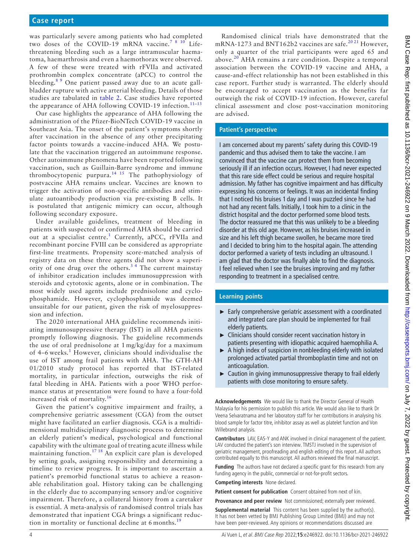was particularly severe among patients who had completed two doses of the COVID-19 mRNA vaccine.<sup>7 8 10</sup> Lifethreatening bleeding such as a large intramuscular haematoma, haemarthrosis and even a haemothorax were observed. A few of these were treated with rFVIIa and activated prothrombin complex concentrate (aPCC) to control the bleeding.[8 9](#page-4-6) One patient passed away due to an acute gallbladder rupture with active arterial bleeding. Details of those studies are tabulated in [table](#page-2-0) 2. Case studies have reported the appearance of AHA following COVID-19 infection.<sup>11-13</sup>

Our case highlights the appearance of AHA following the administration of the Pfizer-BioNTech COVID-19 vaccine in Southeast Asia. The onset of the patient's symptoms shortly after vaccination in the absence of any other precipitating factor points towards a vaccine-induced AHA. We postulate that the vaccination triggered an autoimmune response. Other autoimmune phenomena have been reported following vaccination, such as Guillain-Barre syndrome and immune thrombocytopenic purpura.<sup>[14 15](#page-4-10)</sup> The pathophysiology of postvaccine AHA remains unclear. Vaccines are known to trigger the activation of non-specific antibodies and stimulate autoantibody production via pre-existing B cells. It is postulated that antigenic mimicry can occur, although following secondary exposure.

Under available guidelines, treatment of bleeding in patients with suspected or confirmed AHA should be carried out at a specialist centre.<sup>[1](#page-4-0)</sup> Currently, aPCC, rFVIIa and recombinant porcine FVIII can be considered as appropriate first-line treatments. Propensity score-matched analysis of registry data on these three agents did not show a superiority of one drug over the others.<sup>34</sup> The current mainstay of inhibitor eradication includes immunosuppression with steroids and cytotoxic agents, alone or in combination. The most widely used agents include prednisolone and cyclophosphamide. However, cyclophosphamide was deemed unsuitable for our patient, given the risk of myelosuppression and infection.

The 2020 international AHA guideline recommends initiating immunosuppressive therapy (IST) in all AHA patients promptly following diagnosis. The guideline recommends the use of oral prednisolone at 1 mg/kg/day for a maximum of 4-6 weeks.<sup>[1](#page-4-0)</sup> However, clinicians should individualise the use of IST among frail patients with AHA. The GTH-AH 01/2010 study protocol has reported that IST-related mortality, in particular infection, outweighs the risk of fatal bleeding in AHA. Patients with a poor WHO performance status at presentation were found to have a four-fold increased risk of mortality.[16](#page-4-11)

Given the patient's cognitive impairment and frailty, a comprehensive geriatric assessment (CGA) from the outset might have facilitated an earlier diagnosis. CGA is a multidimensional multidisciplinary diagnostic process to determine an elderly patient's medical, psychological and functional capability with the ultimate goal of treating acute illness while maintaining function.<sup>17 18</sup> An explicit care plan is developed by setting goals, assigning responsibility and determining a timeline to review progress. It is important to ascertain a patient's premorbid functional status to achieve a reasonable rehabilitation goal. History taking can be challenging in the elderly due to accompanying sensory and/or cognitive impairment. Therefore, a collateral history from a caretaker is essential. A meta-analysis of randomised control trials has demonstrated that inpatient CGA brings a significant reduc-tion in mortality or functional decline at 6 months.<sup>[19](#page-4-13)</sup>

Randomised clinical trials have demonstrated that the mRNA-1273 and BNT162b2 vaccines are safe.<sup>2021</sup> However, only a quarter of the trial participants were aged 65 and above.<sup>[20](#page-4-14)</sup> AHA remains a rare condition. Despite a temporal association between the COVID-19 vaccine and AHA, a cause-and-effect relationship has not been established in this case report. Further study is warranted. The elderly should be encouraged to accept vaccination as the benefits far outweigh the risk of COVID-19 infection. However, careful clinical assessment and close post-vaccination monitoring are advised.

# **Patient's perspective**

I am concerned about my parents' safety during this COVID-19 pandemic and thus advised them to take the vaccine. I am convinced that the vaccine can protect them from becoming seriously ill if an infection occurs. However, I had never expected that this rare side effect could be serious and require hospital admission. My father has cognitive impairment and has difficulty expressing his concerns or feelings. It was an incidental finding that I noticed his bruises 1 day and I was puzzled since he had not had any recent falls. Initially, I took him to a clinic in the district hospital and the doctor performed some blood tests. The doctor reassured me that this was unlikely to be a bleeding disorder at this old age. However, as his bruises increased in size and his left thigh became swollen, he became more tired and I decided to bring him to the hospital again. The attending doctor performed a variety of tests including an ultrasound. I am glad that the doctor was finally able to find the diagnosis. I feel relieved when I see the bruises improving and my father responding to treatment in a specialised centre.

## **Learning points**

- ► Early comprehensive geriatric assessment with a coordinated and integrated care plan should be implemented for frail elderly patients.
- ► Clinicians should consider recent vaccination history in patients presenting with idiopathic acquired haemophilia A.
- ► A high index of suspicion in nonbleeding elderly with isolated prolonged activated partial thromboplastin time and not on anticoagulation.
- ► Caution in giving immunosuppressive therapy to frail elderly patients with close monitoring to ensure safety.

**Acknowledgements** We would like to thank the Director General of Health Malaysia for his permission to publish this article. We would also like to thank Dr Veena Selvaratnama and her laboratory staff for her contributions in analysing his blood sample for factor titre, inhibitor assay as well as platelet function and Von Willebrand analysis.

**Contributors** LAV, EAS-Y and ANK involved in clinical management of the patient. LAV conducted the patient's son interview. TMSTJ involved in the supervision of geriatric management, proofreading and english editing of this report. All authors contributed equally to this manuscript. All authors reviewed the final manuscript.

**Funding** The authors have not declared a specific grant for this research from any funding agency in the public, commercial or not-for-profit sectors.

**Competing interests** None declared.

**Patient consent for publication** Consent obtained from next of kin.

**Provenance and peer review** Not commissioned; externally peer reviewed.

**Supplemental material** This content has been supplied by the author(s). It has not been vetted by BMJ Publishing Group Limited (BMJ) and may not have been peer-reviewed. Any opinions or recommendations discussed are